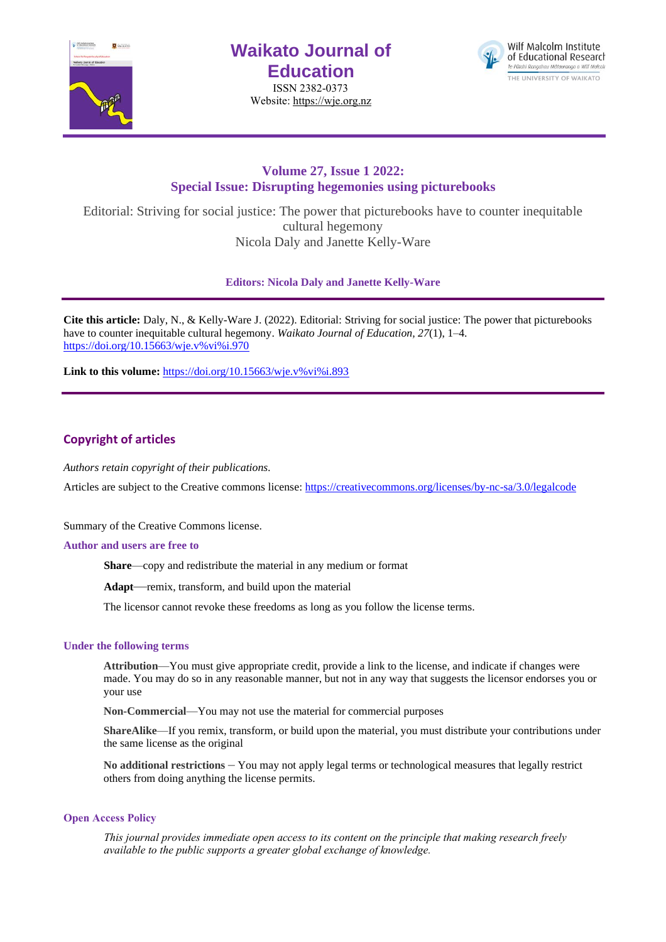

# **Waikato Journal of Education**

ISSN 2382-0373 Website[: https://wje.org.nz](https://wje.org.nz/)



# **Volume 27, Issue 1 2022: Special Issue: Disrupting hegemonies using picturebooks**

Editorial: Striving for social justice: The power that picturebooks have to counter inequitable cultural hegemony Nicola Daly and Janette Kelly-Ware

**Editors: Nicola Daly and Janette Kelly-Ware**

**Cite this article:** Daly, N., & Kelly-Ware J. (2022). Editorial: Striving for social justice: The power that picturebooks have to counter inequitable cultural hegemony. *Waikato Journal of Education, 27*(1), 1–4. [https://doi.org/10.15663/wje.v%vi%i.970](https://doi.org/10.15663/wje.v%25vi%25i.970) 

Link to this volume: [https://doi.org/10.15663/wje.v%vi%i.893](https://doi.org/10.15663/wje.v%25vi%25i.893)

# **Copyright of articles**

*Authors retain copyright of their publications.*

Articles are subject to the Creative commons license: https://creativecommons.org/licenses/by-nc-sa/3.0/legalcode

Summary of the Creative Commons license.

#### **Author and users are free to**

**Share**—copy and redistribute the material in any medium or format

**Adapt**—remix, transform, and build upon the material

The licensor cannot revoke these freedoms as long as you follow the license terms.

#### **Under the following terms**

**Attribution**—You must give appropriate credit, provide a link to the license, and indicate if changes were made. You may do so in any reasonable manner, but not in any way that suggests the licensor endorses you or your use

**Non-Commercial**—You may not use the material for commercial purposes

**ShareAlike**—If you remix, transform, or build upon the material, you must distribute your contributions under the same license as the original

**No additional restrictions** – You may not apply legal terms or technological measures that legally restrict others from doing anything the license permits.

### **Open Access Policy**

*This journal provides immediate open access to its content on the principle that making research freely available to the public supports a greater global exchange of knowledge.*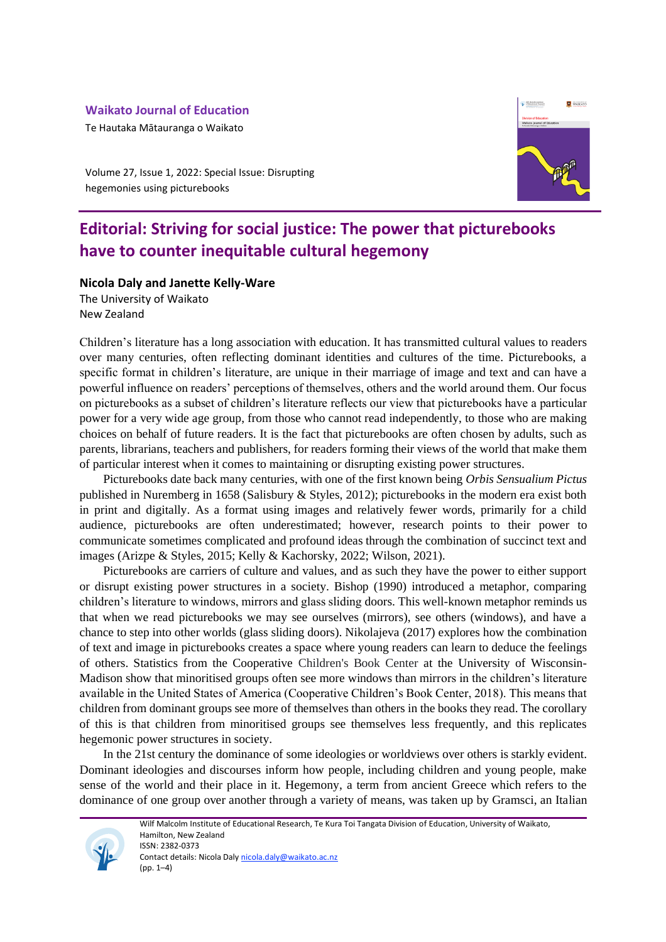## **Waikato Journal of Education**

Te Hautaka Mātauranga o Waikato

**Q** WAIKATO

Volume 27, Issue 1, 2022: Special Issue: Disrupting hegemonies using picturebooks

# **Editorial: Striving for social justice: The power that picturebooks have to counter inequitable cultural hegemony**

## **Nicola Daly and Janette Kelly-Ware**

The University of Waikato New Zealand

Children's literature has a long association with education. It has transmitted cultural values to readers over many centuries, often reflecting dominant identities and cultures of the time. Picturebooks, a specific format in children's literature, are unique in their marriage of image and text and can have a powerful influence on readers' perceptions of themselves, others and the world around them. Our focus on picturebooks as a subset of children's literature reflects our view that picturebooks have a particular power for a very wide age group, from those who cannot read independently, to those who are making choices on behalf of future readers. It is the fact that picturebooks are often chosen by adults, such as parents, librarians, teachers and publishers, for readers forming their views of the world that make them of particular interest when it comes to maintaining or disrupting existing power structures.

Picturebooks date back many centuries, with one of the first known being *Orbis Sensualium Pictus* published in Nuremberg in 1658 (Salisbury & Styles, 2012); picturebooks in the modern era exist both in print and digitally. As a format using images and relatively fewer words, primarily for a child audience, picturebooks are often underestimated; however, research points to their power to communicate sometimes complicated and profound ideas through the combination of succinct text and images (Arizpe & Styles, 2015; Kelly & Kachorsky, 2022; Wilson, 2021).

Picturebooks are carriers of culture and values, and as such they have the power to either support or disrupt existing power structures in a society. Bishop (1990) introduced a metaphor, comparing children's literature to windows, mirrors and glass sliding doors. This well-known metaphor reminds us that when we read picturebooks we may see ourselves (mirrors), see others (windows), and have a chance to step into other worlds (glass sliding doors). Nikolajeva (2017) explores how the combination of text and image in picturebooks creates a space where young readers can learn to deduce the feelings of others. Statistics from the Cooperative Children's Book Center at the University of Wisconsin-Madison show that minoritised groups often see more windows than mirrors in the children's literature available in the United States of America (Cooperative Children's Book Center, 2018). This means that children from dominant groups see more of themselves than others in the books they read. The corollary of this is that children from minoritised groups see themselves less frequently, and this replicates hegemonic power structures in society.

In the 21st century the dominance of some ideologies or worldviews over others is starkly evident. Dominant ideologies and discourses inform how people, including children and young people, make sense of the world and their place in it. Hegemony, a term from ancient Greece which refers to the dominance of one group over another through a variety of means, was taken up by Gramsci, an Italian

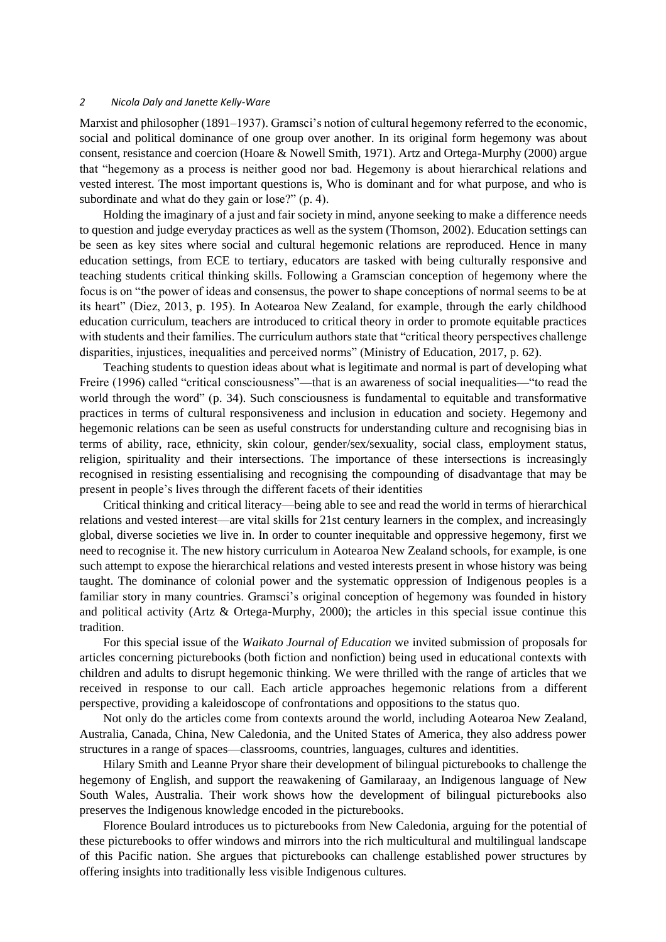#### *2 Nicola Daly and Janette Kelly-Ware*

Marxist and philosopher (1891–1937). Gramsci's notion of cultural hegemony referred to the economic, social and political dominance of one group over another. In its original form hegemony was about consent, resistance and coercion (Hoare & Nowell Smith, 1971). Artz and Ortega-Murphy (2000) argue that "hegemony as a process is neither good nor bad. Hegemony is about hierarchical relations and vested interest. The most important questions is, Who is dominant and for what purpose, and who is subordinate and what do they gain or lose?" (p. 4).

Holding the imaginary of a just and fair society in mind, anyone seeking to make a difference needs to question and judge everyday practices as well as the system (Thomson, 2002). Education settings can be seen as key sites where social and cultural hegemonic relations are reproduced. Hence in many education settings, from ECE to tertiary, educators are tasked with being culturally responsive and teaching students critical thinking skills. Following a Gramscian conception of hegemony where the focus is on "the power of ideas and consensus, the power to shape conceptions of normal seems to be at its heart" (Diez, 2013, p. 195). In Aotearoa New Zealand, for example, through the early childhood education curriculum, teachers are introduced to critical theory in order to promote equitable practices with students and their families. The curriculum authors state that "critical theory perspectives challenge disparities, injustices, inequalities and perceived norms" (Ministry of Education, 2017, p. 62).

Teaching students to question ideas about what is legitimate and normal is part of developing what Freire (1996) called "critical consciousness"—that is an awareness of social inequalities—"to read the world through the word" (p. 34). Such consciousness is fundamental to equitable and transformative practices in terms of cultural responsiveness and inclusion in education and society. Hegemony and hegemonic relations can be seen as useful constructs for understanding culture and recognising bias in terms of ability, race, ethnicity, skin colour, gender/sex/sexuality, social class, employment status, religion, spirituality and their intersections. The importance of these intersections is increasingly recognised in resisting essentialising and recognising the compounding of disadvantage that may be present in people's lives through the different facets of their identities

Critical thinking and critical literacy—being able to see and read the world in terms of hierarchical relations and vested interest—are vital skills for 21st century learners in the complex, and increasingly global, diverse societies we live in. In order to counter inequitable and oppressive hegemony, first we need to recognise it. The new history curriculum in Aotearoa New Zealand schools, for example, is one such attempt to expose the hierarchical relations and vested interests present in whose history was being taught. The dominance of colonial power and the systematic oppression of Indigenous peoples is a familiar story in many countries. Gramsci's original conception of hegemony was founded in history and political activity (Artz & Ortega-Murphy, 2000); the articles in this special issue continue this tradition.

For this special issue of the *Waikato Journal of Education* we invited submission of proposals for articles concerning picturebooks (both fiction and nonfiction) being used in educational contexts with children and adults to disrupt hegemonic thinking. We were thrilled with the range of articles that we received in response to our call. Each article approaches hegemonic relations from a different perspective, providing a kaleidoscope of confrontations and oppositions to the status quo.

Not only do the articles come from contexts around the world, including Aotearoa New Zealand, Australia, Canada, China, New Caledonia, and the United States of America, they also address power structures in a range of spaces—classrooms, countries, languages, cultures and identities.

Hilary Smith and Leanne Pryor share their development of bilingual picturebooks to challenge the hegemony of English, and support the reawakening of Gamilaraay, an Indigenous language of New South Wales, Australia. Their work shows how the development of bilingual picturebooks also preserves the Indigenous knowledge encoded in the picturebooks.

Florence Boulard introduces us to picturebooks from New Caledonia, arguing for the potential of these picturebooks to offer windows and mirrors into the rich multicultural and multilingual landscape of this Pacific nation. She argues that picturebooks can challenge established power structures by offering insights into traditionally less visible Indigenous cultures.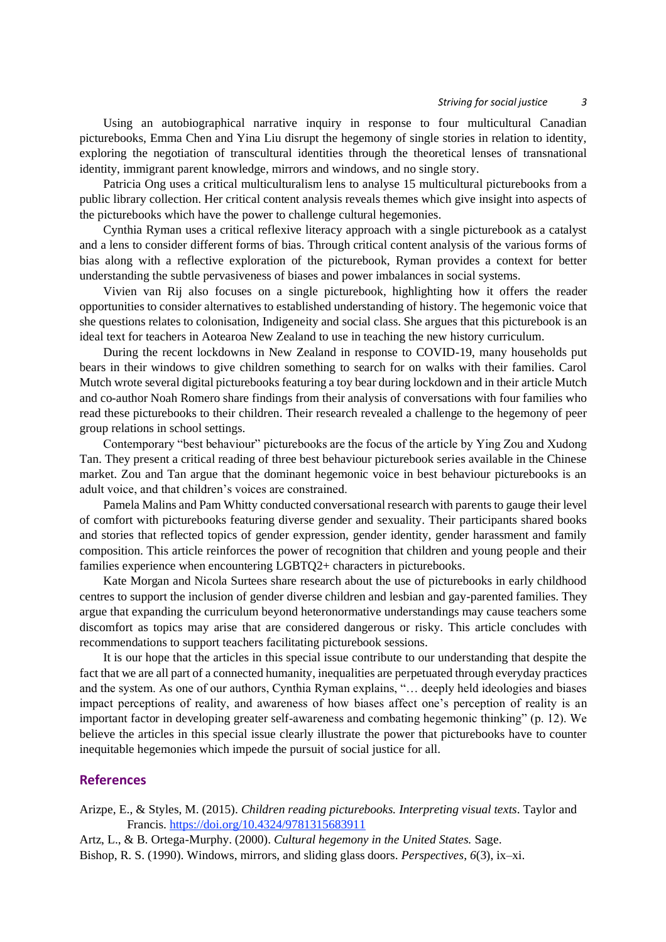Using an autobiographical narrative inquiry in response to four multicultural Canadian picturebooks, Emma Chen and Yina Liu disrupt the hegemony of single stories in relation to identity, exploring the negotiation of transcultural identities through the theoretical lenses of transnational identity, immigrant parent knowledge, mirrors and windows, and no single story.

Patricia Ong uses a critical multiculturalism lens to analyse 15 multicultural picturebooks from a public library collection. Her critical content analysis reveals themes which give insight into aspects of the picturebooks which have the power to challenge cultural hegemonies.

Cynthia Ryman uses a critical reflexive literacy approach with a single picturebook as a catalyst and a lens to consider different forms of bias. Through critical content analysis of the various forms of bias along with a reflective exploration of the picturebook, Ryman provides a context for better understanding the subtle pervasiveness of biases and power imbalances in social systems.

Vivien van Rij also focuses on a single picturebook, highlighting how it offers the reader opportunities to consider alternatives to established understanding of history. The hegemonic voice that she questions relates to colonisation, Indigeneity and social class. She argues that this picturebook is an ideal text for teachers in Aotearoa New Zealand to use in teaching the new history curriculum.

During the recent lockdowns in New Zealand in response to COVID-19, many households put bears in their windows to give children something to search for on walks with their families. Carol Mutch wrote several digital picturebooks featuring a toy bear during lockdown and in their article Mutch and co-author Noah Romero share findings from their analysis of conversations with four families who read these picturebooks to their children. Their research revealed a challenge to the hegemony of peer group relations in school settings.

Contemporary "best behaviour" picturebooks are the focus of the article by Ying Zou and Xudong Tan. They present a critical reading of three best behaviour picturebook series available in the Chinese market. Zou and Tan argue that the dominant hegemonic voice in best behaviour picturebooks is an adult voice, and that children's voices are constrained.

Pamela Malins and Pam Whitty conducted conversational research with parents to gauge their level of comfort with picturebooks featuring diverse gender and sexuality. Their participants shared books and stories that reflected topics of gender expression, gender identity, gender harassment and family composition. This article reinforces the power of recognition that children and young people and their families experience when encountering LGBTQ2+ characters in picturebooks.

Kate Morgan and Nicola Surtees share research about the use of picturebooks in early childhood centres to support the inclusion of gender diverse children and lesbian and gay-parented families. They argue that expanding the curriculum beyond heteronormative understandings may cause teachers some discomfort as topics may arise that are considered dangerous or risky. This article concludes with recommendations to support teachers facilitating picturebook sessions.

It is our hope that the articles in this special issue contribute to our understanding that despite the fact that we are all part of a connected humanity, inequalities are perpetuated through everyday practices and the system. As one of our authors, Cynthia Ryman explains, "… deeply held ideologies and biases impact perceptions of reality, and awareness of how biases affect one's perception of reality is an important factor in developing greater self-awareness and combating hegemonic thinking" (p. 12). We believe the articles in this special issue clearly illustrate the power that picturebooks have to counter inequitable hegemonies which impede the pursuit of social justice for all.

### **References**

Arizpe, E., & Styles, M. (2015). *Children reading picturebooks. Interpreting visual texts*. Taylor and Francis. <https://doi.org/10.4324/9781315683911>

Artz, L., & B. Ortega-Murphy. (2000). *Cultural hegemony in the United States.* Sage. Bishop, R. S. (1990). Windows, mirrors, and sliding glass doors. *Perspectives*, *6*(3), ix–xi.